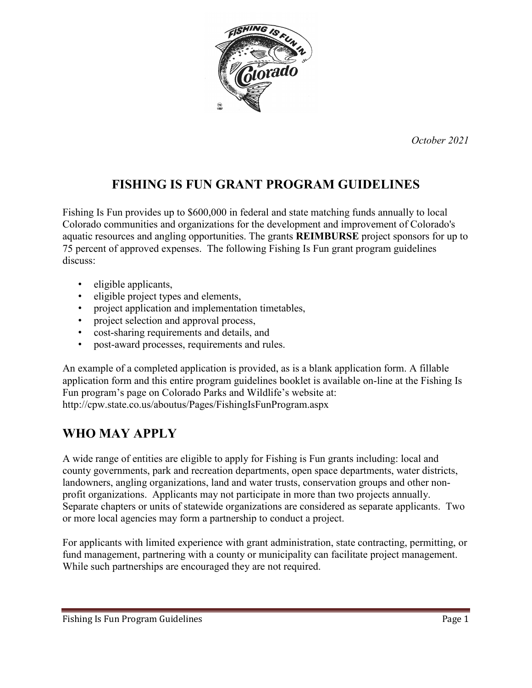

*October 2021*

## **FISHING IS FUN GRANT PROGRAM GUIDELINES**

Fishing Is Fun provides up to \$600,000 in federal and state matching funds annually to local Colorado communities and organizations for the development and improvement of Colorado's aquatic resources and angling opportunities. The grants **REIMBURSE** project sponsors for up to 75 percent of approved expenses. The following Fishing Is Fun grant program guidelines discuss:

- eligible applicants,
- eligible project types and elements,
- project application and implementation timetables,
- project selection and approval process,
- cost-sharing requirements and details, and
- post-award processes, requirements and rules.

An example of a completed application is provided, as is a blank application form. A fillable application form and this entire program guidelines booklet is available on-line at the Fishing Is Fun program's page on Colorado Parks and Wildlife's website at: http://cpw.state.co.us/aboutus/Pages/FishingIsFunProgram.aspx

## **WHO MAY APPLY**

A wide range of entities are eligible to apply for Fishing is Fun grants including: local and county governments, park and recreation departments, open space departments, water districts, landowners, angling organizations, land and water trusts, conservation groups and other nonprofit organizations. Applicants may not participate in more than two projects annually. Separate chapters or units of statewide organizations are considered as separate applicants. Two or more local agencies may form a partnership to conduct a project.

For applicants with limited experience with grant administration, state contracting, permitting, or fund management, partnering with a county or municipality can facilitate project management. While such partnerships are encouraged they are not required.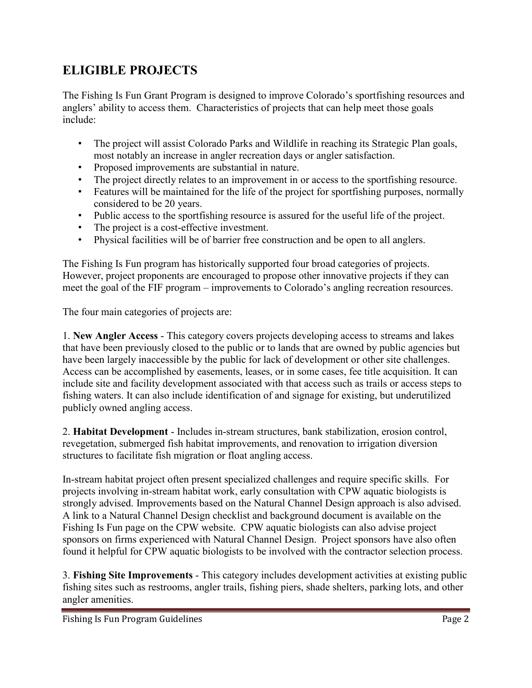## **ELIGIBLE PROJECTS**

The Fishing Is Fun Grant Program is designed to improve Colorado's sportfishing resources and anglers' ability to access them. Characteristics of projects that can help meet those goals include:

- The project will assist Colorado Parks and Wildlife in reaching its Strategic Plan goals, most notably an increase in angler recreation days or angler satisfaction.
- Proposed improvements are substantial in nature.
- The project directly relates to an improvement in or access to the sportfishing resource.
- Features will be maintained for the life of the project for sportfishing purposes, normally considered to be 20 years.
- Public access to the sportfishing resource is assured for the useful life of the project.
- The project is a cost-effective investment.
- Physical facilities will be of barrier free construction and be open to all anglers.

The Fishing Is Fun program has historically supported four broad categories of projects. However, project proponents are encouraged to propose other innovative projects if they can meet the goal of the FIF program – improvements to Colorado's angling recreation resources.

The four main categories of projects are:

1. **New Angler Access** - This category covers projects developing access to streams and lakes that have been previously closed to the public or to lands that are owned by public agencies but have been largely inaccessible by the public for lack of development or other site challenges. Access can be accomplished by easements, leases, or in some cases, fee title acquisition. It can include site and facility development associated with that access such as trails or access steps to fishing waters. It can also include identification of and signage for existing, but underutilized publicly owned angling access.

2. **Habitat Development** - Includes in-stream structures, bank stabilization, erosion control, revegetation, submerged fish habitat improvements, and renovation to irrigation diversion structures to facilitate fish migration or float angling access.

In-stream habitat project often present specialized challenges and require specific skills. For projects involving in-stream habitat work, early consultation with CPW aquatic biologists is strongly advised. Improvements based on the Natural Channel Design approach is also advised. A link to a Natural Channel Design checklist and background document is available on the Fishing Is Fun page on the CPW website. CPW aquatic biologists can also advise project sponsors on firms experienced with Natural Channel Design. Project sponsors have also often found it helpful for CPW aquatic biologists to be involved with the contractor selection process.

3. **Fishing Site Improvements** - This category includes development activities at existing public fishing sites such as restrooms, angler trails, fishing piers, shade shelters, parking lots, and other angler amenities.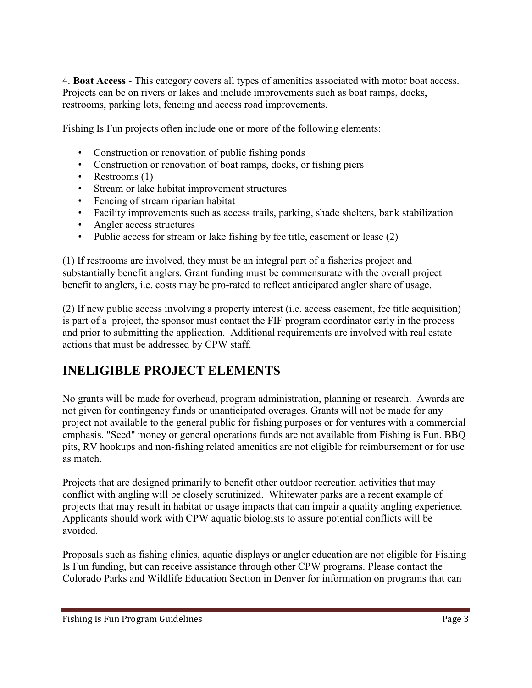4. **Boat Access** - This category covers all types of amenities associated with motor boat access. Projects can be on rivers or lakes and include improvements such as boat ramps, docks, restrooms, parking lots, fencing and access road improvements.

Fishing Is Fun projects often include one or more of the following elements:

- Construction or renovation of public fishing ponds
- Construction or renovation of boat ramps, docks, or fishing piers
- Restrooms (1)
- Stream or lake habitat improvement structures
- Fencing of stream riparian habitat
- Facility improvements such as access trails, parking, shade shelters, bank stabilization
- Angler access structures
- Public access for stream or lake fishing by fee title, easement or lease (2)

(1) If restrooms are involved, they must be an integral part of a fisheries project and substantially benefit anglers. Grant funding must be commensurate with the overall project benefit to anglers, i.e. costs may be pro-rated to reflect anticipated angler share of usage.

(2) If new public access involving a property interest (i.e. access easement, fee title acquisition) is part of a project, the sponsor must contact the FIF program coordinator early in the process and prior to submitting the application. Additional requirements are involved with real estate actions that must be addressed by CPW staff.

## **INELIGIBLE PROJECT ELEMENTS**

No grants will be made for overhead, program administration, planning or research. Awards are not given for contingency funds or unanticipated overages. Grants will not be made for any project not available to the general public for fishing purposes or for ventures with a commercial emphasis. "Seed" money or general operations funds are not available from Fishing is Fun. BBQ pits, RV hookups and non-fishing related amenities are not eligible for reimbursement or for use as match.

Projects that are designed primarily to benefit other outdoor recreation activities that may conflict with angling will be closely scrutinized. Whitewater parks are a recent example of projects that may result in habitat or usage impacts that can impair a quality angling experience. Applicants should work with CPW aquatic biologists to assure potential conflicts will be avoided.

Proposals such as fishing clinics, aquatic displays or angler education are not eligible for Fishing Is Fun funding, but can receive assistance through other CPW programs. Please contact the Colorado Parks and Wildlife Education Section in Denver for information on programs that can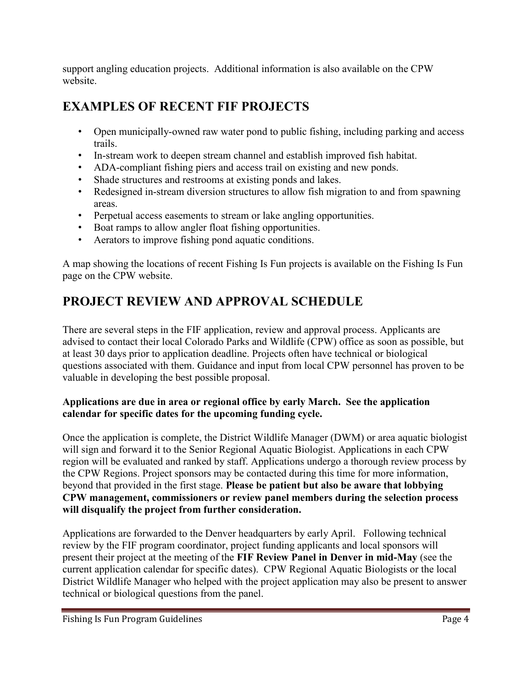support angling education projects. Additional information is also available on the CPW website.

## **EXAMPLES OF RECENT FIF PROJECTS**

- Open municipally-owned raw water pond to public fishing, including parking and access trails.
- In-stream work to deepen stream channel and establish improved fish habitat.
- ADA-compliant fishing piers and access trail on existing and new ponds.
- Shade structures and restrooms at existing ponds and lakes.
- Redesigned in-stream diversion structures to allow fish migration to and from spawning areas.
- Perpetual access easements to stream or lake angling opportunities.
- Boat ramps to allow angler float fishing opportunities.
- Aerators to improve fishing pond aquatic conditions.

A map showing the locations of recent Fishing Is Fun projects is available on the Fishing Is Fun page on the CPW website.

# **PROJECT REVIEW AND APPROVAL SCHEDULE**

There are several steps in the FIF application, review and approval process. Applicants are advised to contact their local Colorado Parks and Wildlife (CPW) office as soon as possible, but at least 30 days prior to application deadline. Projects often have technical or biological questions associated with them. Guidance and input from local CPW personnel has proven to be valuable in developing the best possible proposal.

### **Applications are due in area or regional office by early March. See the application calendar for specific dates for the upcoming funding cycle.**

Once the application is complete, the District Wildlife Manager (DWM) or area aquatic biologist will sign and forward it to the Senior Regional Aquatic Biologist. Applications in each CPW region will be evaluated and ranked by staff. Applications undergo a thorough review process by the CPW Regions. Project sponsors may be contacted during this time for more information, beyond that provided in the first stage. **Please be patient but also be aware that lobbying CPW management, commissioners or review panel members during the selection process will disqualify the project from further consideration.**

Applications are forwarded to the Denver headquarters by early April. Following technical review by the FIF program coordinator, project funding applicants and local sponsors will present their project at the meeting of the **FIF Review Panel in Denver in mid-May** (see the current application calendar for specific dates). CPW Regional Aquatic Biologists or the local District Wildlife Manager who helped with the project application may also be present to answer technical or biological questions from the panel.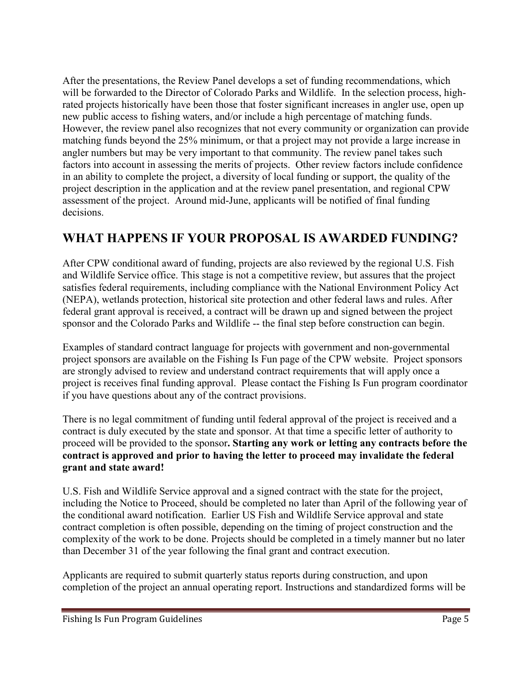After the presentations, the Review Panel develops a set of funding recommendations, which will be forwarded to the Director of Colorado Parks and Wildlife. In the selection process, highrated projects historically have been those that foster significant increases in angler use, open up new public access to fishing waters, and/or include a high percentage of matching funds. However, the review panel also recognizes that not every community or organization can provide matching funds beyond the 25% minimum, or that a project may not provide a large increase in angler numbers but may be very important to that community. The review panel takes such factors into account in assessing the merits of projects. Other review factors include confidence in an ability to complete the project, a diversity of local funding or support, the quality of the project description in the application and at the review panel presentation, and regional CPW assessment of the project. Around mid-June, applicants will be notified of final funding decisions.

### **WHAT HAPPENS IF YOUR PROPOSAL IS AWARDED FUNDING?**

After CPW conditional award of funding, projects are also reviewed by the regional U.S. Fish and Wildlife Service office. This stage is not a competitive review, but assures that the project satisfies federal requirements, including compliance with the National Environment Policy Act (NEPA), wetlands protection, historical site protection and other federal laws and rules. After federal grant approval is received, a contract will be drawn up and signed between the project sponsor and the Colorado Parks and Wildlife -- the final step before construction can begin.

Examples of standard contract language for projects with government and non-governmental project sponsors are available on the Fishing Is Fun page of the CPW website. Project sponsors are strongly advised to review and understand contract requirements that will apply once a project is receives final funding approval. Please contact the Fishing Is Fun program coordinator if you have questions about any of the contract provisions.

There is no legal commitment of funding until federal approval of the project is received and a contract is duly executed by the state and sponsor. At that time a specific letter of authority to proceed will be provided to the sponsor**. Starting any work or letting any contracts before the contract is approved and prior to having the letter to proceed may invalidate the federal grant and state award!**

U.S. Fish and Wildlife Service approval and a signed contract with the state for the project, including the Notice to Proceed, should be completed no later than April of the following year of the conditional award notification. Earlier US Fish and Wildlife Service approval and state contract completion is often possible, depending on the timing of project construction and the complexity of the work to be done. Projects should be completed in a timely manner but no later than December 31 of the year following the final grant and contract execution.

Applicants are required to submit quarterly status reports during construction, and upon completion of the project an annual operating report. Instructions and standardized forms will be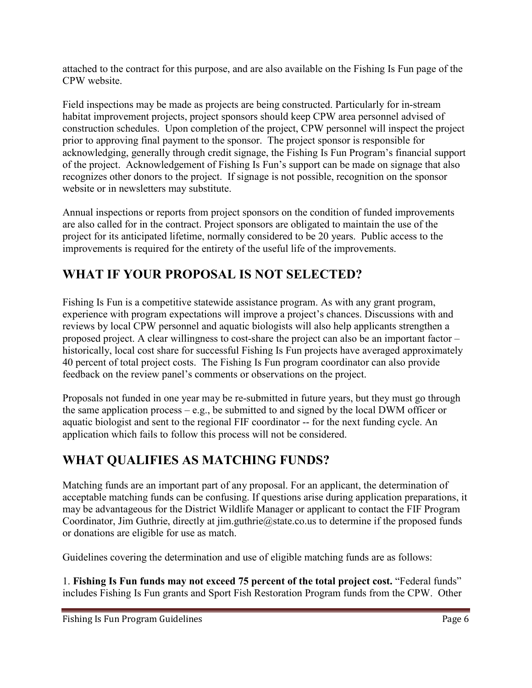attached to the contract for this purpose, and are also available on the Fishing Is Fun page of the CPW website.

Field inspections may be made as projects are being constructed. Particularly for in-stream habitat improvement projects, project sponsors should keep CPW area personnel advised of construction schedules. Upon completion of the project, CPW personnel will inspect the project prior to approving final payment to the sponsor. The project sponsor is responsible for acknowledging, generally through credit signage, the Fishing Is Fun Program's financial support of the project. Acknowledgement of Fishing Is Fun's support can be made on signage that also recognizes other donors to the project. If signage is not possible, recognition on the sponsor website or in newsletters may substitute.

Annual inspections or reports from project sponsors on the condition of funded improvements are also called for in the contract. Project sponsors are obligated to maintain the use of the project for its anticipated lifetime, normally considered to be 20 years. Public access to the improvements is required for the entirety of the useful life of the improvements.

## **WHAT IF YOUR PROPOSAL IS NOT SELECTED?**

Fishing Is Fun is a competitive statewide assistance program. As with any grant program, experience with program expectations will improve a project's chances. Discussions with and reviews by local CPW personnel and aquatic biologists will also help applicants strengthen a proposed project. A clear willingness to cost-share the project can also be an important factor – historically, local cost share for successful Fishing Is Fun projects have averaged approximately 40 percent of total project costs. The Fishing Is Fun program coordinator can also provide feedback on the review panel's comments or observations on the project.

Proposals not funded in one year may be re-submitted in future years, but they must go through the same application process – e.g., be submitted to and signed by the local DWM officer or aquatic biologist and sent to the regional FIF coordinator -- for the next funding cycle. An application which fails to follow this process will not be considered.

## **WHAT QUALIFIES AS MATCHING FUNDS?**

Matching funds are an important part of any proposal. For an applicant, the determination of acceptable matching funds can be confusing. If questions arise during application preparations, it may be advantageous for the District Wildlife Manager or applicant to contact the FIF Program Coordinator, Jim Guthrie, directly at jim.guthrie@state.co.us to determine if the proposed funds or donations are eligible for use as match.

Guidelines covering the determination and use of eligible matching funds are as follows:

1. **Fishing Is Fun funds may not exceed 75 percent of the total project cost.** "Federal funds" includes Fishing Is Fun grants and Sport Fish Restoration Program funds from the CPW. Other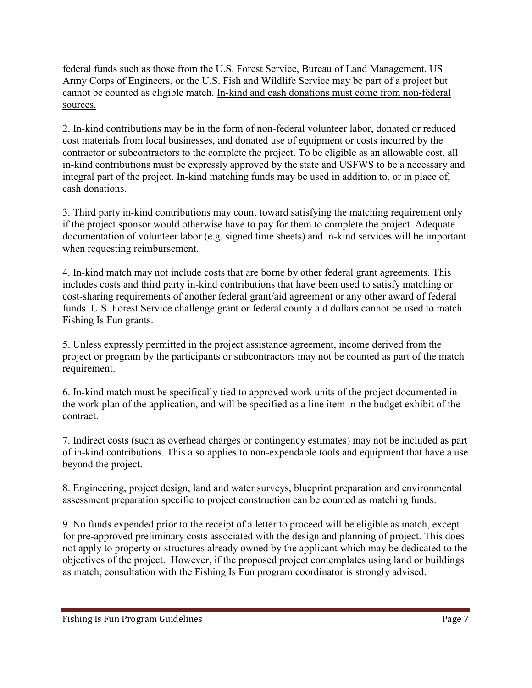federal funds such as those from the U.S. Forest Service, Bureau of Land Management, US Army Corps of Engineers, or the U.S. Fish and Wildlife Service may be part of a project but cannot be counted as eligible match. In-kind and cash donations must come from non-federal sources.

2. In-kind contributions may be in the form of non-federal volunteer labor, donated or reduced cost materials from local businesses, and donated use of equipment or costs incurred by the contractor or subcontractors to the complete the project. To be eligible as an allowable cost, all in-kind contributions must be expressly approved by the state and USFWS to be a necessary and integral part of the project. In-kind matching funds may be used in addition to, or in place of, cash donations.

3. Third party in-kind contributions may count toward satisfying the matching requirement only if the project sponsor would otherwise have to pay for them to complete the project. Adequate documentation of volunteer labor (e.g. signed time sheets) and in-kind services will be important when requesting reimbursement.

4. In-kind match may not include costs that are borne by other federal grant agreements. This includes costs and third party in-kind contributions that have been used to satisfy matching or cost-sharing requirements of another federal grant/aid agreement or any other award of federal funds. U.S. Forest Service challenge grant or federal county aid dollars cannot be used to match Fishing Is Fun grants.

5. Unless expressly permitted in the project assistance agreement, income derived from the project or program by the participants or subcontractors may not be counted as part of the match requirement.

6. In-kind match must be specifically tied to approved work units of the project documented in the work plan of the application, and will be specified as a line item in the budget exhibit of the contract.

7. Indirect costs (such as overhead charges or contingency estimates) may not be included as part of in-kind contributions. This also applies to non-expendable tools and equipment that have a use beyond the project.

8. Engineering, project design, land and water surveys, blueprint preparation and environmental assessment preparation specific to project construction can be counted as matching funds.

9. No funds expended prior to the receipt of a letter to proceed will be eligible as match, except for pre-approved preliminary costs associated with the design and planning of project. This does not apply to property or structures already owned by the applicant which may be dedicated to the objectives of the project. However, if the proposed project contemplates using land or buildings as match, consultation with the Fishing Is Fun program coordinator is strongly advised.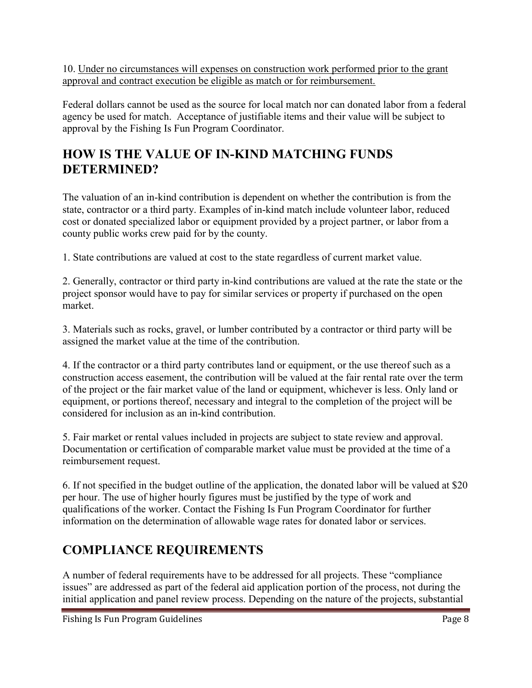10. Under no circumstances will expenses on construction work performed prior to the grant approval and contract execution be eligible as match or for reimbursement.

Federal dollars cannot be used as the source for local match nor can donated labor from a federal agency be used for match. Acceptance of justifiable items and their value will be subject to approval by the Fishing Is Fun Program Coordinator.

## **HOW IS THE VALUE OF IN-KIND MATCHING FUNDS DETERMINED?**

The valuation of an in-kind contribution is dependent on whether the contribution is from the state, contractor or a third party. Examples of in-kind match include volunteer labor, reduced cost or donated specialized labor or equipment provided by a project partner, or labor from a county public works crew paid for by the county.

1. State contributions are valued at cost to the state regardless of current market value.

2. Generally, contractor or third party in-kind contributions are valued at the rate the state or the project sponsor would have to pay for similar services or property if purchased on the open market.

3. Materials such as rocks, gravel, or lumber contributed by a contractor or third party will be assigned the market value at the time of the contribution.

4. If the contractor or a third party contributes land or equipment, or the use thereof such as a construction access easement, the contribution will be valued at the fair rental rate over the term of the project or the fair market value of the land or equipment, whichever is less. Only land or equipment, or portions thereof, necessary and integral to the completion of the project will be considered for inclusion as an in-kind contribution.

5. Fair market or rental values included in projects are subject to state review and approval. Documentation or certification of comparable market value must be provided at the time of a reimbursement request.

6. If not specified in the budget outline of the application, the donated labor will be valued at \$20 per hour. The use of higher hourly figures must be justified by the type of work and qualifications of the worker. Contact the Fishing Is Fun Program Coordinator for further information on the determination of allowable wage rates for donated labor or services.

## **COMPLIANCE REQUIREMENTS**

A number of federal requirements have to be addressed for all projects. These "compliance issues" are addressed as part of the federal aid application portion of the process, not during the initial application and panel review process. Depending on the nature of the projects, substantial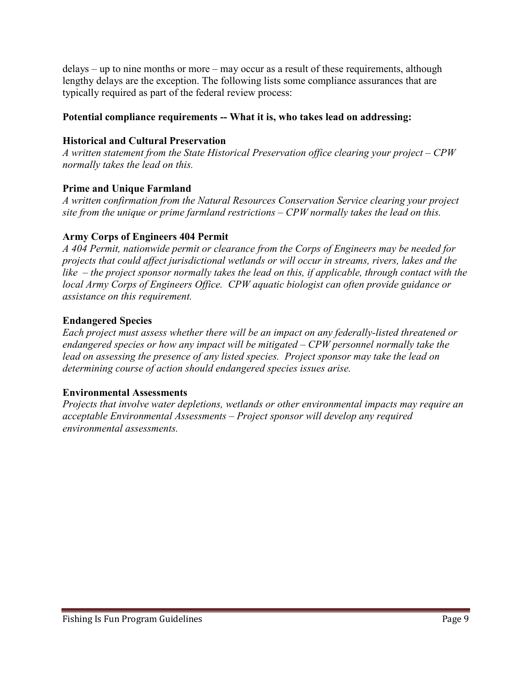delays – up to nine months or more – may occur as a result of these requirements, although lengthy delays are the exception. The following lists some compliance assurances that are typically required as part of the federal review process:

### **Potential compliance requirements -- What it is, who takes lead on addressing:**

#### **Historical and Cultural Preservation**

*A written statement from the State Historical Preservation office clearing your project – CPW normally takes the lead on this.*

### **Prime and Unique Farmland**

*A written confirmation from the Natural Resources Conservation Service clearing your project site from the unique or prime farmland restrictions – CPW normally takes the lead on this.*

### **Army Corps of Engineers 404 Permit**

*A 404 Permit, nationwide permit or clearance from the Corps of Engineers may be needed for projects that could affect jurisdictional wetlands or will occur in streams, rivers, lakes and the like – the project sponsor normally takes the lead on this, if applicable, through contact with the local Army Corps of Engineers Office. CPW aquatic biologist can often provide guidance or assistance on this requirement.*

### **Endangered Species**

*Each project must assess whether there will be an impact on any federally-listed threatened or endangered species or how any impact will be mitigated – CPW personnel normally take the lead on assessing the presence of any listed species. Project sponsor may take the lead on determining course of action should endangered species issues arise.*

### **Environmental Assessments**

*Projects that involve water depletions, wetlands or other environmental impacts may require an acceptable Environmental Assessments – Project sponsor will develop any required environmental assessments.*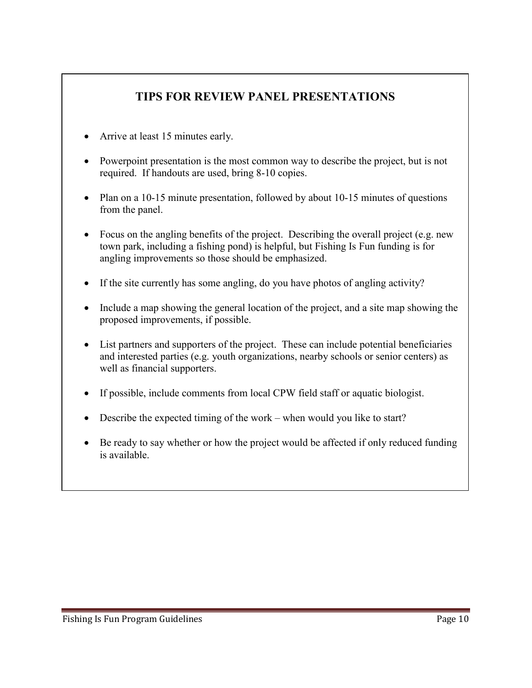### **TIPS FOR REVIEW PANEL PRESENTATIONS**

- Arrive at least 15 minutes early.
- Powerpoint presentation is the most common way to describe the project, but is not required. If handouts are used, bring 8-10 copies.
- Plan on a 10-15 minute presentation, followed by about 10-15 minutes of questions from the panel.
- Focus on the angling benefits of the project. Describing the overall project (e.g. new town park, including a fishing pond) is helpful, but Fishing Is Fun funding is for angling improvements so those should be emphasized.
- If the site currently has some angling, do you have photos of angling activity?
- Include a map showing the general location of the project, and a site map showing the proposed improvements, if possible.
- List partners and supporters of the project. These can include potential beneficiaries and interested parties (e.g. youth organizations, nearby schools or senior centers) as well as financial supporters.
- If possible, include comments from local CPW field staff or aquatic biologist.
- Describe the expected timing of the work when would you like to start?
- Be ready to say whether or how the project would be affected if only reduced funding is available.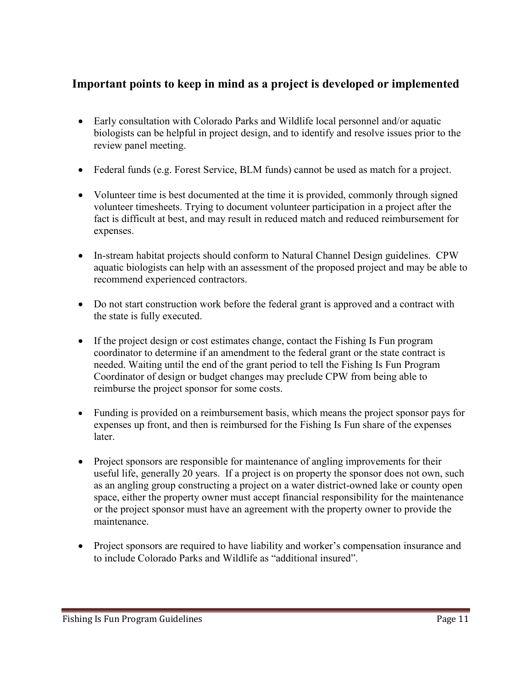### **Important points to keep in mind as a project is developed or implemented**

- Early consultation with Colorado Parks and Wildlife local personnel and/or aquatic biologists can be helpful in project design, and to identify and resolve issues prior to the review panel meeting.
- Federal funds (e.g. Forest Service, BLM funds) cannot be used as match for a project.
- Volunteer time is best documented at the time it is provided, commonly through signed volunteer timesheets. Trying to document volunteer participation in a project after the fact is difficult at best, and may result in reduced match and reduced reimbursement for expenses.
- In-stream habitat projects should conform to Natural Channel Design guidelines. CPW aquatic biologists can help with an assessment of the proposed project and may be able to recommend experienced contractors.
- Do not start construction work before the federal grant is approved and a contract with the state is fully executed.
- If the project design or cost estimates change, contact the Fishing Is Fun program coordinator to determine if an amendment to the federal grant or the state contract is needed. Waiting until the end of the grant period to tell the Fishing Is Fun Program Coordinator of design or budget changes may preclude CPW from being able to reimburse the project sponsor for some costs.
- Funding is provided on a reimbursement basis, which means the project sponsor pays for expenses up front, and then is reimbursed for the Fishing Is Fun share of the expenses later.
- Project sponsors are responsible for maintenance of angling improvements for their useful life, generally 20 years. If a project is on property the sponsor does not own, such as an angling group constructing a project on a water district-owned lake or county open space, either the property owner must accept financial responsibility for the maintenance or the project sponsor must have an agreement with the property owner to provide the maintenance.
- Project sponsors are required to have liability and worker's compensation insurance and to include Colorado Parks and Wildlife as "additional insured".